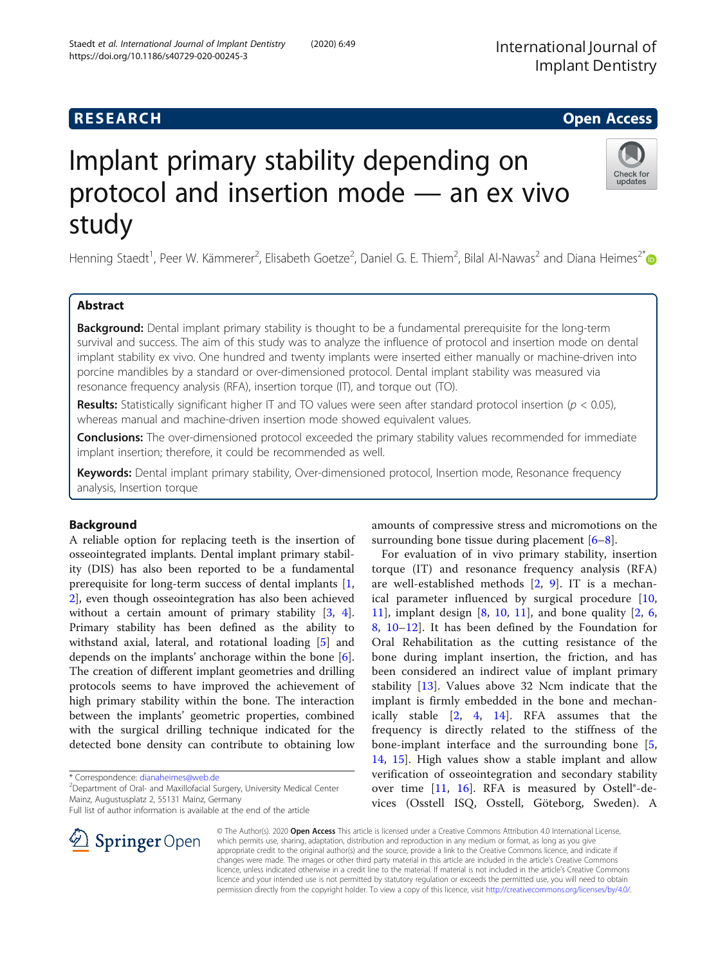## **RESEARCH CHE Open Access**

# Implant primary stability depending on protocol and insertion mode — an ex vivo study

Henning Staedt<sup>1</sup>, Peer W. Kämmerer<sup>2</sup>, Elisabeth Goetze<sup>2</sup>, Daniel G. E. Thiem<sup>2</sup>, Bilal Al-Nawas<sup>2</sup> and Diana Heimes<sup>2[\\*](http://orcid.org/0000-0001-9899-7715)</sup>

## Abstract

**Background:** Dental implant primary stability is thought to be a fundamental prerequisite for the long-term survival and success. The aim of this study was to analyze the influence of protocol and insertion mode on dental implant stability ex vivo. One hundred and twenty implants were inserted either manually or machine-driven into porcine mandibles by a standard or over-dimensioned protocol. Dental implant stability was measured via resonance frequency analysis (RFA), insertion torque (IT), and torque out (TO).

Results: Statistically significant higher IT and TO values were seen after standard protocol insertion ( $p < 0.05$ ), whereas manual and machine-driven insertion mode showed equivalent values.

**Conclusions:** The over-dimensioned protocol exceeded the primary stability values recommended for immediate implant insertion; therefore, it could be recommended as well.

Keywords: Dental implant primary stability, Over-dimensioned protocol, Insertion mode, Resonance frequency analysis, Insertion torque

## Background

A reliable option for replacing teeth is the insertion of osseointegrated implants. Dental implant primary stability (DIS) has also been reported to be a fundamental prerequisite for long-term success of dental implants [[1](#page-7-0), [2\]](#page-7-0), even though osseointegration has also been achieved without a certain amount of primary stability [\[3](#page-7-0), [4](#page-7-0)]. Primary stability has been defined as the ability to withstand axial, lateral, and rotational loading [\[5](#page-7-0)] and depends on the implants' anchorage within the bone [\[6](#page-7-0)]. The creation of different implant geometries and drilling protocols seems to have improved the achievement of high primary stability within the bone. The interaction between the implants' geometric properties, combined with the surgical drilling technique indicated for the detected bone density can contribute to obtaining low

\* Correspondence: [dianaheimes@web.de](mailto:dianaheimes@web.de) <sup>2</sup>

<sup>2</sup> Department of Oral- and Maxillofacial Surgery, University Medical Center Mainz, Augustusplatz 2, 55131 Mainz, Germany

Full list of author information is available at the end of the article

amounts of compressive stress and micromotions on the surrounding bone tissue during placement [[6](#page-7-0)–[8\]](#page-7-0).

For evaluation of in vivo primary stability, insertion torque (IT) and resonance frequency analysis (RFA) are well-established methods [[2,](#page-7-0) [9](#page-7-0)]. IT is a mechanical parameter influenced by surgical procedure [\[10](#page-7-0), [11\]](#page-7-0), implant design  $[8, 10, 11]$  $[8, 10, 11]$  $[8, 10, 11]$  $[8, 10, 11]$ , and bone quality  $[2, 6, 11]$  $[2, 6, 11]$  $[2, 6, 11]$  $[2, 6, 11]$ [8,](#page-7-0) [10](#page-7-0)–[12\]](#page-7-0). It has been defined by the Foundation for Oral Rehabilitation as the cutting resistance of the bone during implant insertion, the friction, and has been considered an indirect value of implant primary stability [\[13](#page-7-0)]. Values above 32 Ncm indicate that the implant is firmly embedded in the bone and mechanically stable [[2,](#page-7-0) [4,](#page-7-0) [14](#page-7-0)]. RFA assumes that the frequency is directly related to the stiffness of the bone-implant interface and the surrounding bone [\[5](#page-7-0), [14,](#page-7-0) [15](#page-7-0)]. High values show a stable implant and allow verification of osseointegration and secondary stability over time  $[11, 16]$  $[11, 16]$  $[11, 16]$  $[11, 16]$ . RFA is measured by Ostell®-devices (Osstell ISQ, Osstell, Göteborg, Sweden). A

© The Author(s). 2020 Open Access This article is licensed under a Creative Commons Attribution 4.0 International License, which permits use, sharing, adaptation, distribution and reproduction in any medium or format, as long as you give appropriate credit to the original author(s) and the source, provide a link to the Creative Commons licence, and indicate if changes were made. The images or other third party material in this article are included in the article's Creative Commons licence, unless indicated otherwise in a credit line to the material. If material is not included in the article's Creative Commons licence and your intended use is not permitted by statutory regulation or exceeds the permitted use, you will need to obtain permission directly from the copyright holder. To view a copy of this licence, visit <http://creativecommons.org/licenses/by/4.0/>.



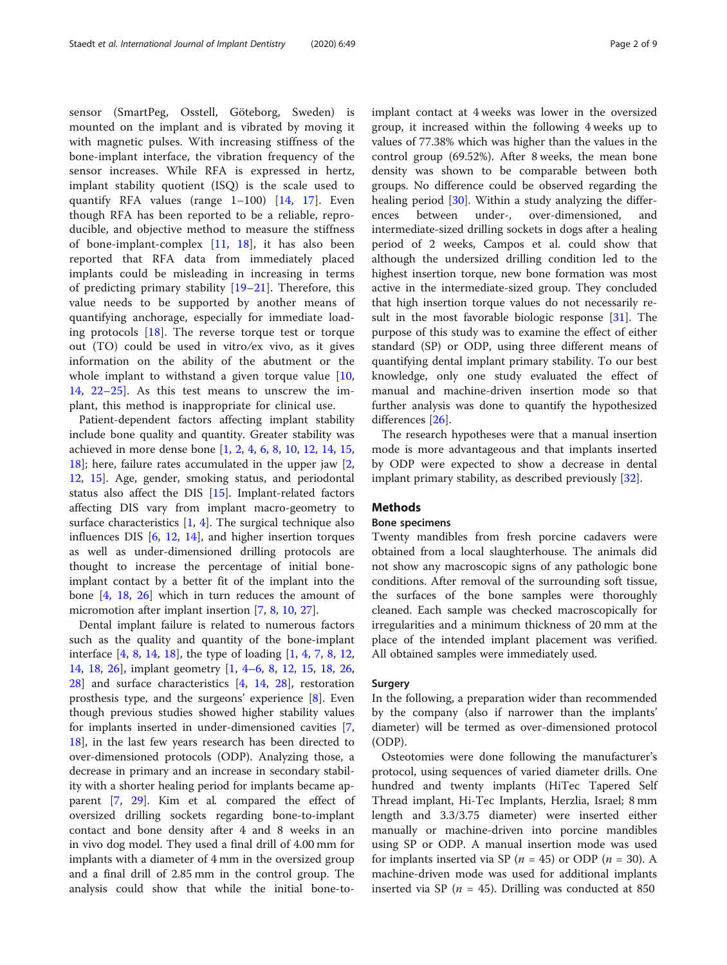sensor (SmartPeg, Osstell, Göteborg, Sweden) is mounted on the implant and is vibrated by moving it with magnetic pulses. With increasing stiffness of the bone-implant interface, the vibration frequency of the sensor increases. While RFA is expressed in hertz, implant stability quotient (ISQ) is the scale used to quantify RFA values (range 1–100) [[14,](#page-7-0) [17\]](#page-7-0). Even though RFA has been reported to be a reliable, reproducible, and objective method to measure the stiffness of bone-implant-complex [[11,](#page-7-0) [18](#page-7-0)], it has also been reported that RFA data from immediately placed implants could be misleading in increasing in terms of predicting primary stability [\[19](#page-7-0)–[21](#page-8-0)]. Therefore, this value needs to be supported by another means of quantifying anchorage, especially for immediate loading protocols [\[18](#page-7-0)]. The reverse torque test or torque out (TO) could be used in vitro/ex vivo, as it gives information on the ability of the abutment or the whole implant to withstand a given torque value [\[10](#page-7-0), [14,](#page-7-0) [22](#page-8-0)–[25\]](#page-8-0). As this test means to unscrew the implant, this method is inappropriate for clinical use.

Patient-dependent factors affecting implant stability include bone quality and quantity. Greater stability was achieved in more dense bone [[1,](#page-7-0) [2,](#page-7-0) [4](#page-7-0), [6](#page-7-0), [8](#page-7-0), [10](#page-7-0), [12](#page-7-0), [14](#page-7-0), [15](#page-7-0), [18\]](#page-7-0); here, failure rates accumulated in the upper jaw [\[2](#page-7-0), [12,](#page-7-0) [15\]](#page-7-0). Age, gender, smoking status, and periodontal status also affect the DIS [[15](#page-7-0)]. Implant-related factors affecting DIS vary from implant macro-geometry to surface characteristics  $[1, 4]$  $[1, 4]$  $[1, 4]$  $[1, 4]$ . The surgical technique also influences DIS [\[6](#page-7-0), [12](#page-7-0), [14](#page-7-0)], and higher insertion torques as well as under-dimensioned drilling protocols are thought to increase the percentage of initial boneimplant contact by a better fit of the implant into the bone [\[4](#page-7-0), [18,](#page-7-0) [26](#page-8-0)] which in turn reduces the amount of micromotion after implant insertion [\[7](#page-7-0), [8](#page-7-0), [10](#page-7-0), [27\]](#page-8-0).

Dental implant failure is related to numerous factors such as the quality and quantity of the bone-implant interface [\[4](#page-7-0), [8,](#page-7-0) [14,](#page-7-0) [18](#page-7-0)], the type of loading [\[1](#page-7-0), [4](#page-7-0), [7,](#page-7-0) [8](#page-7-0), [12](#page-7-0), [14,](#page-7-0) [18](#page-7-0), [26](#page-8-0)], implant geometry [[1,](#page-7-0) [4](#page-7-0)–[6](#page-7-0), [8](#page-7-0), [12](#page-7-0), [15,](#page-7-0) [18,](#page-7-0) [26](#page-8-0), [28\]](#page-8-0) and surface characteristics [[4,](#page-7-0) [14](#page-7-0), [28](#page-8-0)], restoration prosthesis type, and the surgeons' experience [\[8](#page-7-0)]. Even though previous studies showed higher stability values for implants inserted in under-dimensioned cavities [\[7](#page-7-0), [18\]](#page-7-0), in the last few years research has been directed to over-dimensioned protocols (ODP). Analyzing those, a decrease in primary and an increase in secondary stability with a shorter healing period for implants became apparent [\[7](#page-7-0), [29](#page-8-0)]. Kim et al. compared the effect of oversized drilling sockets regarding bone-to-implant contact and bone density after 4 and 8 weeks in an in vivo dog model. They used a final drill of 4.00 mm for implants with a diameter of 4 mm in the oversized group and a final drill of 2.85 mm in the control group. The analysis could show that while the initial bone-to-

implant contact at 4 weeks was lower in the oversized group, it increased within the following 4 weeks up to values of 77.38% which was higher than the values in the control group (69.52%). After 8 weeks, the mean bone density was shown to be comparable between both groups. No difference could be observed regarding the healing period [[30](#page-8-0)]. Within a study analyzing the differences between under-, over-dimensioned, and intermediate-sized drilling sockets in dogs after a healing period of 2 weeks, Campos et al. could show that although the undersized drilling condition led to the highest insertion torque, new bone formation was most active in the intermediate-sized group. They concluded that high insertion torque values do not necessarily re-sult in the most favorable biologic response [\[31](#page-8-0)]. The purpose of this study was to examine the effect of either standard (SP) or ODP, using three different means of quantifying dental implant primary stability. To our best knowledge, only one study evaluated the effect of manual and machine-driven insertion mode so that further analysis was done to quantify the hypothesized differences [[26\]](#page-8-0).

The research hypotheses were that a manual insertion mode is more advantageous and that implants inserted by ODP were expected to show a decrease in dental implant primary stability, as described previously [\[32](#page-8-0)].

## Methods

## Bone specimens

Twenty mandibles from fresh porcine cadavers were obtained from a local slaughterhouse. The animals did not show any macroscopic signs of any pathologic bone conditions. After removal of the surrounding soft tissue, the surfaces of the bone samples were thoroughly cleaned. Each sample was checked macroscopically for irregularities and a minimum thickness of 20 mm at the place of the intended implant placement was verified. All obtained samples were immediately used.

#### Surgery

In the following, a preparation wider than recommended by the company (also if narrower than the implants' diameter) will be termed as over-dimensioned protocol (ODP).

Osteotomies were done following the manufacturer's protocol, using sequences of varied diameter drills. One hundred and twenty implants (HiTec Tapered Self Thread implant, Hi-Tec Implants, Herzlia, Israel; 8 mm length and 3.3/3.75 diameter) were inserted either manually or machine-driven into porcine mandibles using SP or ODP. A manual insertion mode was used for implants inserted via SP ( $n = 45$ ) or ODP ( $n = 30$ ). A machine-driven mode was used for additional implants inserted via SP ( $n = 45$ ). Drilling was conducted at 850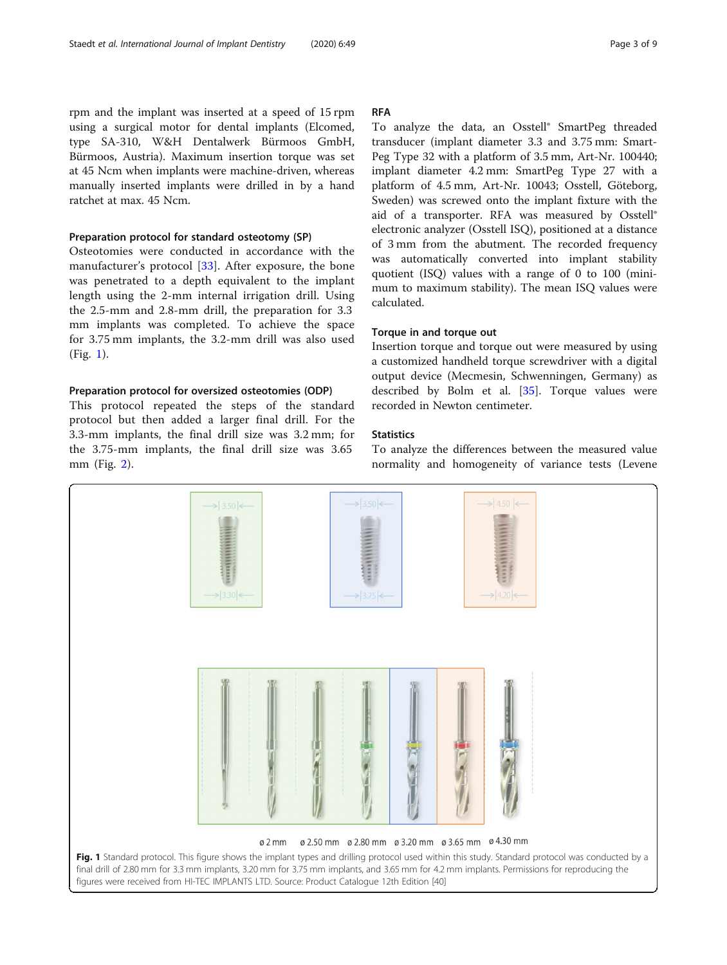rpm and the implant was inserted at a speed of 15 rpm using a surgical motor for dental implants (Elcomed, type SA-310, W&H Dentalwerk Bürmoos GmbH, Bürmoos, Austria). Maximum insertion torque was set at 45 Ncm when implants were machine-driven, whereas manually inserted implants were drilled in by a hand ratchet at max. 45 Ncm.

#### Preparation protocol for standard osteotomy (SP)

Osteotomies were conducted in accordance with the manufacturer's protocol [[33\]](#page-8-0). After exposure, the bone was penetrated to a depth equivalent to the implant length using the 2-mm internal irrigation drill. Using the 2.5-mm and 2.8-mm drill, the preparation for 3.3 mm implants was completed. To achieve the space for 3.75 mm implants, the 3.2-mm drill was also used (Fig. 1).

#### Preparation protocol for oversized osteotomies (ODP)

This protocol repeated the steps of the standard protocol but then added a larger final drill. For the 3.3-mm implants, the final drill size was 3.2 mm; for the 3.75-mm implants, the final drill size was 3.65 mm (Fig. [2](#page-3-0)).

#### RFA

To analyze the data, an Osstell® SmartPeg threaded transducer (implant diameter 3.3 and 3.75 mm: Smart-Peg Type 32 with a platform of 3.5 mm, Art-Nr. 100440; implant diameter 4.2 mm: SmartPeg Type 27 with a platform of 4.5 mm, Art-Nr. 10043; Osstell, Göteborg, Sweden) was screwed onto the implant fixture with the aid of a transporter. RFA was measured by Osstell® electronic analyzer (Osstell ISQ), positioned at a distance of 3 mm from the abutment. The recorded frequency was automatically converted into implant stability quotient (ISQ) values with a range of 0 to 100 (minimum to maximum stability). The mean ISQ values were calculated.

## Torque in and torque out

Insertion torque and torque out were measured by using a customized handheld torque screwdriver with a digital output device (Mecmesin, Schwenningen, Germany) as described by Bolm et al. [\[35](#page-8-0)]. Torque values were recorded in Newton centimeter.

## **Statistics**

To analyze the differences between the measured value normality and homogeneity of variance tests (Levene

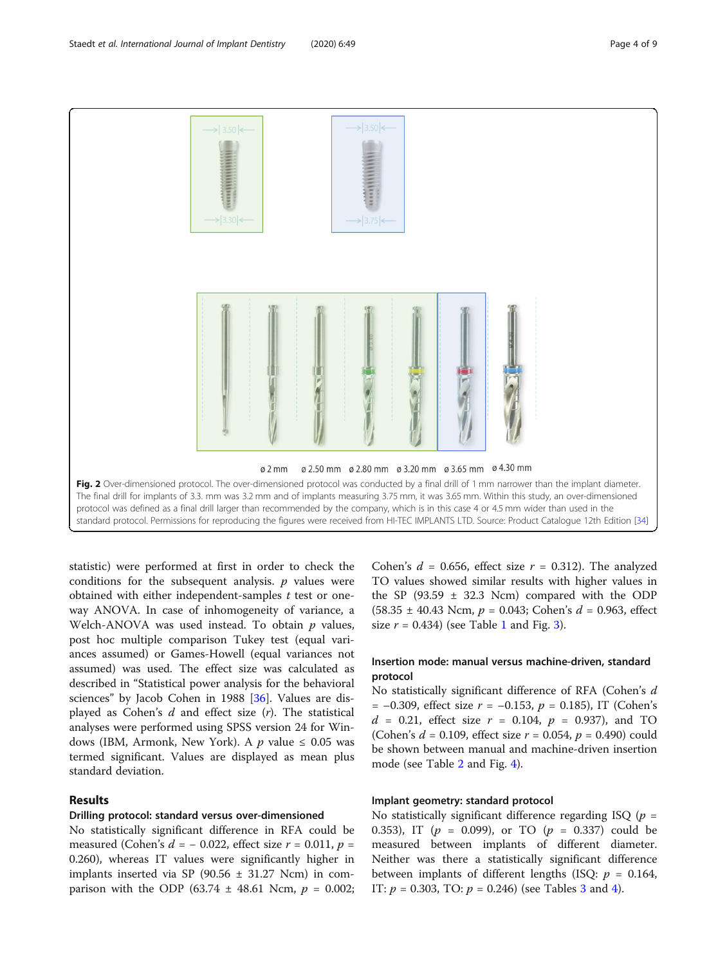<span id="page-3-0"></span>

statistic) were performed at first in order to check the conditions for the subsequent analysis.  $p$  values were obtained with either independent-samples  $t$  test or oneway ANOVA. In case of inhomogeneity of variance, a Welch-ANOVA was used instead. To obtain  $p$  values, post hoc multiple comparison Tukey test (equal variances assumed) or Games-Howell (equal variances not assumed) was used. The effect size was calculated as described in "Statistical power analysis for the behavioral sciences" by Jacob Cohen in 1988 [[36\]](#page-8-0). Values are displayed as Cohen's  $d$  and effect size  $(r)$ . The statistical analyses were performed using SPSS version 24 for Windows (IBM, Armonk, New York). A p value  $\leq 0.05$  was termed significant. Values are displayed as mean plus standard deviation.

## Results

#### Drilling protocol: standard versus over-dimensioned

No statistically significant difference in RFA could be measured (Cohen's  $d = -0.022$ , effect size  $r = 0.011$ ,  $p =$ 0.260), whereas IT values were significantly higher in implants inserted via SP (90.56  $\pm$  31.27 Ncm) in comparison with the ODP (63.74  $\pm$  48.61 Ncm,  $p = 0.002$ ;

Cohen's  $d = 0.656$ , effect size  $r = 0.312$ ). The analyzed TO values showed similar results with higher values in the SP (93.59  $\pm$  32.3 Ncm) compared with the ODP  $(58.35 \pm 40.43 \text{ Ncm}, p = 0.043; \text{Cohen's } d = 0.963, \text{ effect}$ size  $r = 0.434$ ) (see Table [1](#page-4-0) and Fig. [3\)](#page-4-0).

## Insertion mode: manual versus machine-driven, standard protocol

No statistically significant difference of RFA (Cohen's d  $= -0.309$ , effect size  $r = -0.153$ ,  $p = 0.185$ ), IT (Cohen's  $d = 0.21$ , effect size  $r = 0.104$ ,  $p = 0.937$ ), and TO (Cohen's  $d = 0.109$ , effect size  $r = 0.054$ ,  $p = 0.490$ ) could be shown between manual and machine-driven insertion mode (see Table [2](#page-5-0) and Fig. [4](#page-5-0)).

## Implant geometry: standard protocol

No statistically significant difference regarding ISQ ( $p =$ 0.353), IT ( $p = 0.099$ ), or TO ( $p = 0.337$ ) could be measured between implants of different diameter. Neither was there a statistically significant difference between implants of different lengths (ISQ:  $p = 0.164$ , IT:  $p = 0.303$  $p = 0.303$  $p = 0.303$ , TO:  $p = 0.246$  $p = 0.246$  $p = 0.246$ ) (see Tables 3 and 4).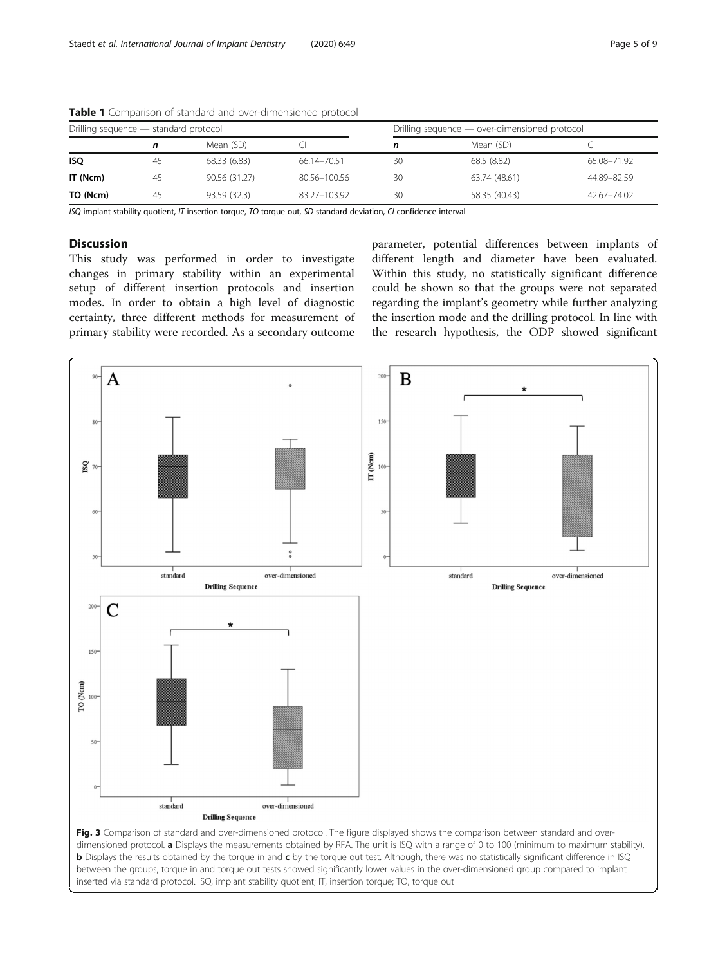| Drilling sequence - standard protocol |    |               |               | Drilling sequence - over-dimensioned protocol |               |             |  |  |
|---------------------------------------|----|---------------|---------------|-----------------------------------------------|---------------|-------------|--|--|
|                                       |    | Mean (SD)     |               |                                               | Mean (SD)     |             |  |  |
| <b>ISQ</b>                            | 45 | 68.33 (6.83)  | 66.14 - 70.51 | 30                                            | 68.5 (8.82)   | 65.08-71.92 |  |  |
| IT (Ncm)                              | 45 | 90.56 (31.27) | 80.56-100.56  | 30                                            | 63.74 (48.61) | 44.89-82.59 |  |  |
| TO (Ncm)                              | 45 | 93.59 (32.3)  | 83.27-103.92  | 30                                            | 58.35 (40.43) | 42.67-74.02 |  |  |

<span id="page-4-0"></span>Table 1 Comparison of standard and over-dimensioned protocol

ISQ implant stability quotient, IT insertion torque, TO torque out, SD standard deviation, CI confidence interval

## **Discussion**

This study was performed in order to investigate changes in primary stability within an experimental setup of different insertion protocols and insertion modes. In order to obtain a high level of diagnostic certainty, three different methods for measurement of primary stability were recorded. As a secondary outcome

parameter, potential differences between implants of different length and diameter have been evaluated. Within this study, no statistically significant difference could be shown so that the groups were not separated regarding the implant's geometry while further analyzing the insertion mode and the drilling protocol. In line with the research hypothesis, the ODP showed significant

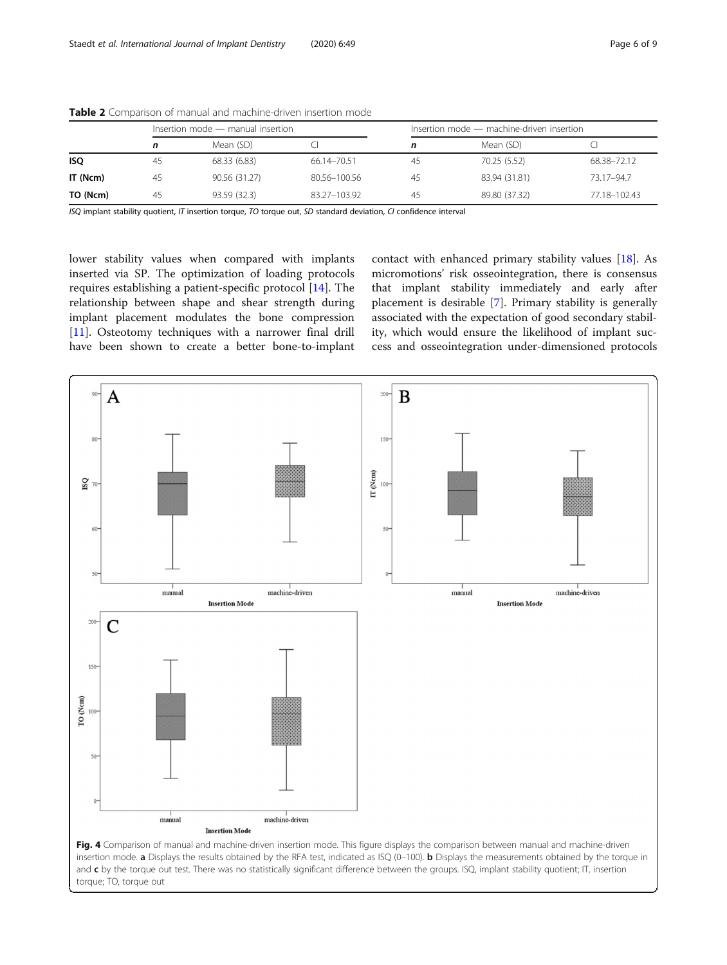|            |    | Insertion mode - manual insertion |              | Insertion mode - machine-driven insertion |               |              |  |  |
|------------|----|-----------------------------------|--------------|-------------------------------------------|---------------|--------------|--|--|
|            |    | Mean (SD)                         |              |                                           | Mean (SD)     |              |  |  |
| <b>ISO</b> | 45 | 68.33 (6.83)                      | 66.14-70.51  | 45                                        | 70.25 (5.52)  | 68.38-72.12  |  |  |
| IT (Ncm)   | 45 | 90.56 (31.27)                     | 80.56-100.56 | 45                                        | 83.94 (31.81) | 73.17-94.7   |  |  |
| TO (Ncm)   | 45 | 93.59 (32.3)                      | 83.27-103.92 | 45                                        | 89.80 (37.32) | 77.18-102.43 |  |  |

<span id="page-5-0"></span>Table 2 Comparison of manual and machine-driven insertion mode

ISQ implant stability quotient, IT insertion torque, TO torque out, SD standard deviation, CI confidence interval

lower stability values when compared with implants inserted via SP. The optimization of loading protocols requires establishing a patient-specific protocol [\[14](#page-7-0)]. The relationship between shape and shear strength during implant placement modulates the bone compression [[11\]](#page-7-0). Osteotomy techniques with a narrower final drill have been shown to create a better bone-to-implant contact with enhanced primary stability values [[18](#page-7-0)]. As micromotions' risk osseointegration, there is consensus that implant stability immediately and early after placement is desirable [[7\]](#page-7-0). Primary stability is generally associated with the expectation of good secondary stability, which would ensure the likelihood of implant success and osseointegration under-dimensioned protocols

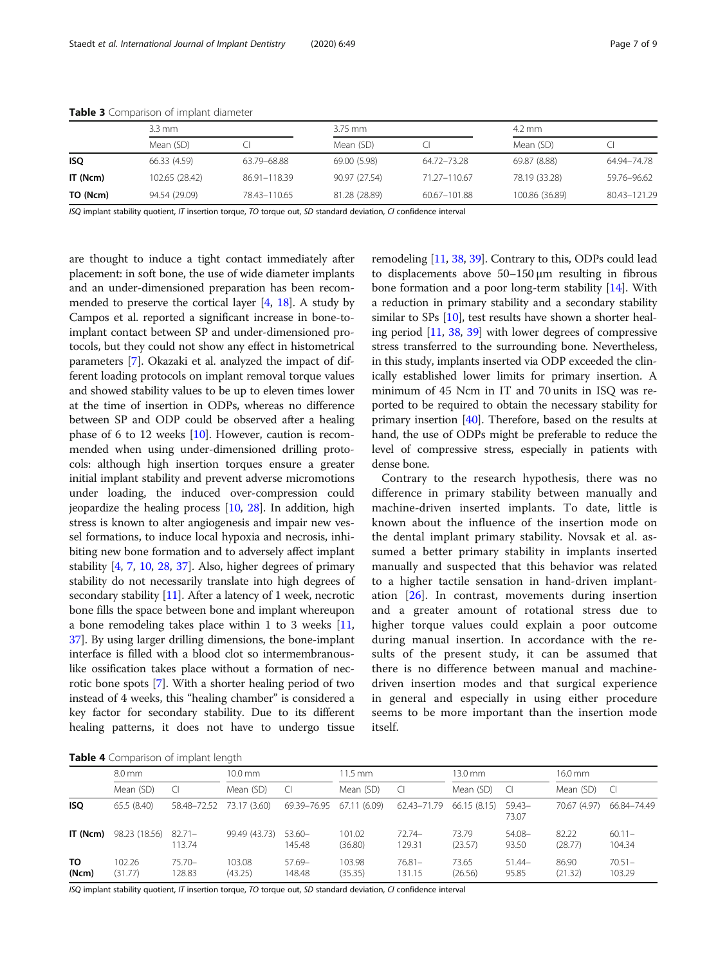|            | $3.3 \, \text{mm}$ |              | $3.75$ mm     |              | $4.2 \text{ mm}$ |              |  |
|------------|--------------------|--------------|---------------|--------------|------------------|--------------|--|
|            | Mean (SD)          |              | Mean (SD)     |              | Mean (SD)        |              |  |
| <b>ISQ</b> | 66.33 (4.59)       | 63.79–68.88  | 69.00 (5.98)  | 64.72–73.28  | 69.87 (8.88)     | 64.94–74.78  |  |
| IT (Ncm)   | 102.65 (28.42)     | 86.91-118.39 | 90.97 (27.54) | 71.27-110.67 | 78.19 (33.28)    | 59.76-96.62  |  |
| TO (Ncm)   | 94.54 (29.09)      | 78.43-110.65 | 81.28 (28.89) | 60.67-101.88 | 100.86 (36.89)   | 80.43-121.29 |  |

<span id="page-6-0"></span>Table 3 Comparison of implant diameter

ISQ implant stability quotient, IT insertion torque, TO torque out, SD standard deviation, CI confidence interval

are thought to induce a tight contact immediately after placement: in soft bone, the use of wide diameter implants and an under-dimensioned preparation has been recommended to preserve the cortical layer [[4](#page-7-0), [18\]](#page-7-0). A study by Campos et al. reported a significant increase in bone-toimplant contact between SP and under-dimensioned protocols, but they could not show any effect in histometrical parameters [[7](#page-7-0)]. Okazaki et al. analyzed the impact of different loading protocols on implant removal torque values and showed stability values to be up to eleven times lower at the time of insertion in ODPs, whereas no difference between SP and ODP could be observed after a healing phase of 6 to 12 weeks [[10](#page-7-0)]. However, caution is recommended when using under-dimensioned drilling protocols: although high insertion torques ensure a greater initial implant stability and prevent adverse micromotions under loading, the induced over-compression could jeopardize the healing process [\[10,](#page-7-0) [28\]](#page-8-0). In addition, high stress is known to alter angiogenesis and impair new vessel formations, to induce local hypoxia and necrosis, inhibiting new bone formation and to adversely affect implant stability [\[4,](#page-7-0) [7,](#page-7-0) [10,](#page-7-0) [28](#page-8-0), [37\]](#page-8-0). Also, higher degrees of primary stability do not necessarily translate into high degrees of secondary stability [\[11\]](#page-7-0). After a latency of 1 week, necrotic bone fills the space between bone and implant whereupon a bone remodeling takes place within 1 to 3 weeks [[11](#page-7-0), [37](#page-8-0)]. By using larger drilling dimensions, the bone-implant interface is filled with a blood clot so intermembranouslike ossification takes place without a formation of necrotic bone spots [\[7\]](#page-7-0). With a shorter healing period of two instead of 4 weeks, this "healing chamber" is considered a key factor for secondary stability. Due to its different healing patterns, it does not have to undergo tissue remodeling [[11](#page-7-0), [38,](#page-8-0) [39](#page-8-0)]. Contrary to this, ODPs could lead to displacements above 50–150 μm resulting in fibrous bone formation and a poor long-term stability [[14](#page-7-0)]. With a reduction in primary stability and a secondary stability similar to SPs [[10\]](#page-7-0), test results have shown a shorter healing period [[11](#page-7-0), [38](#page-8-0), [39](#page-8-0)] with lower degrees of compressive stress transferred to the surrounding bone. Nevertheless, in this study, implants inserted via ODP exceeded the clinically established lower limits for primary insertion. A minimum of 45 Ncm in IT and 70 units in ISQ was reported to be required to obtain the necessary stability for primary insertion [[40](#page-8-0)]. Therefore, based on the results at hand, the use of ODPs might be preferable to reduce the level of compressive stress, especially in patients with dense bone.

Contrary to the research hypothesis, there was no difference in primary stability between manually and machine-driven inserted implants. To date, little is known about the influence of the insertion mode on the dental implant primary stability. Novsak et al. assumed a better primary stability in implants inserted manually and suspected that this behavior was related to a higher tactile sensation in hand-driven implantation [\[26](#page-8-0)]. In contrast, movements during insertion and a greater amount of rotational stress due to higher torque values could explain a poor outcome during manual insertion. In accordance with the results of the present study, it can be assumed that there is no difference between manual and machinedriven insertion modes and that surgical experience in general and especially in using either procedure seems to be more important than the insertion mode itself.

Table 4 Comparison of implant length

|              | 8.0 mm            |                     | $10.0$ mm                |                          | 11.5 mm           |                     | $13.0 \text{ mm}$ |                    | 16.0 mm          |                     |
|--------------|-------------------|---------------------|--------------------------|--------------------------|-------------------|---------------------|-------------------|--------------------|------------------|---------------------|
|              | Mean (SD)         |                     | Mean (SD)                | <sup>-</sup> Cl          | Mean (SD)         | C                   | Mean (SD)         | - Cl               | Mean (SD)        | <sup>C</sup>        |
| <b>ISO</b>   | 65.5(8.40)        |                     | 58.48-72.52 73.17 (3.60) | 69.39-76.95 67.11 (6.09) |                   | 62.43-71.79         | 66.15(8.15)       | $59.43-$<br>73.07  | 70.67 (4.97)     | 66.84-74.49         |
| IT (Ncm)     | 98.23 (18.56)     | $82.71 -$<br>113.74 | 99.49 (43.73)            | $53.60 -$<br>145.48      | 101.02<br>(36.80) | $72.74-$<br>129.31  | 73.79<br>(23.57)  | $54.08 -$<br>93.50 | 82.22<br>(28.77) | $60.11 -$<br>104.34 |
| TO.<br>(Ncm) | 102.26<br>(31.77) | $75.70-$<br>128.83  | 103.08<br>(43.25)        | $57.69-$<br>148.48       | 103.98<br>(35.35) | $76.81 -$<br>131.15 | 73.65<br>(26.56)  | $51.44-$<br>95.85  | 86.90<br>(21.32) | $70.51 -$<br>103.29 |

ISQ implant stability quotient, IT insertion torque, TO torque out, SD standard deviation, CI confidence interval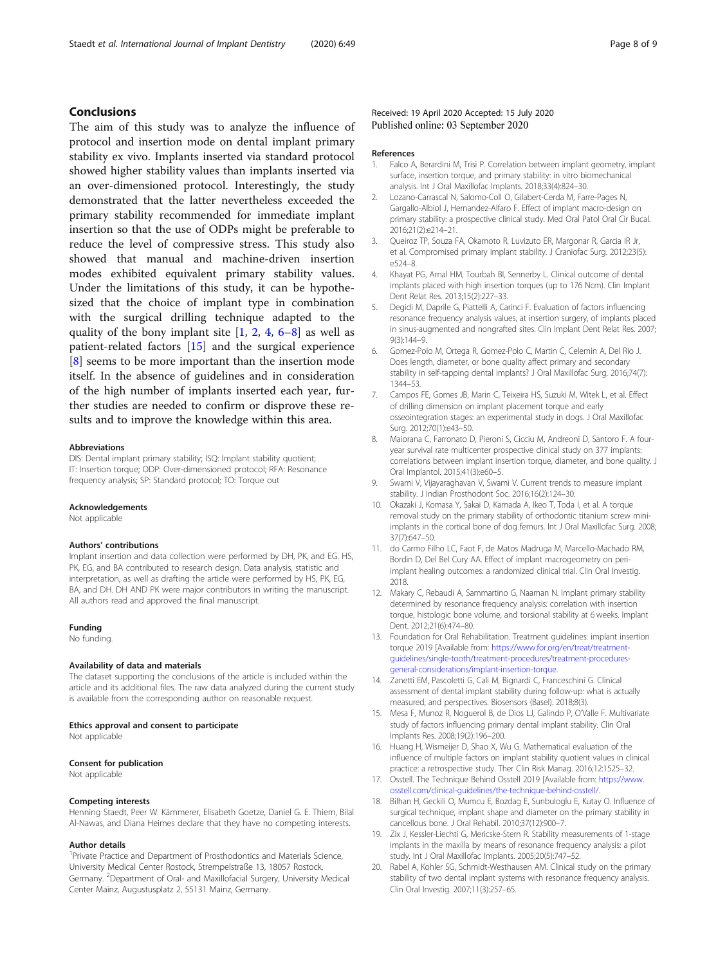## <span id="page-7-0"></span>Conclusions

The aim of this study was to analyze the influence of protocol and insertion mode on dental implant primary stability ex vivo. Implants inserted via standard protocol showed higher stability values than implants inserted via an over-dimensioned protocol. Interestingly, the study demonstrated that the latter nevertheless exceeded the primary stability recommended for immediate implant insertion so that the use of ODPs might be preferable to reduce the level of compressive stress. This study also showed that manual and machine-driven insertion modes exhibited equivalent primary stability values. Under the limitations of this study, it can be hypothesized that the choice of implant type in combination with the surgical drilling technique adapted to the quality of the bony implant site [1, 2, 4, 6–8] as well as patient-related factors [15] and the surgical experience [8] seems to be more important than the insertion mode itself. In the absence of guidelines and in consideration of the high number of implants inserted each year, further studies are needed to confirm or disprove these results and to improve the knowledge within this area.

#### Abbreviations

DIS: Dental implant primary stability; ISQ: Implant stability quotient; IT: Insertion torque; ODP: Over-dimensioned protocol; RFA: Resonance frequency analysis; SP: Standard protocol; TO: Torque out

#### Acknowledgements

Not applicable

#### Authors' contributions

Implant insertion and data collection were performed by DH, PK, and EG. HS, PK, EG, and BA contributed to research design. Data analysis, statistic and interpretation, as well as drafting the article were performed by HS, PK, EG, BA, and DH. DH AND PK were major contributors in writing the manuscript. All authors read and approved the final manuscript.

#### Funding

No funding.

#### Availability of data and materials

The dataset supporting the conclusions of the article is included within the article and its additional files. The raw data analyzed during the current study is available from the corresponding author on reasonable request.

#### Ethics approval and consent to participate

Not applicable

## Consent for publication

Not applicable

#### Competing interests

Henning Staedt, Peer W. Kämmerer, Elisabeth Goetze, Daniel G. E. Thiem, Bilal Al-Nawas, and Diana Heimes declare that they have no competing interests.

#### Author details

<sup>1</sup> Private Practice and Department of Prosthodontics and Materials Science, University Medical Center Rostock, Strempelstraße 13, 18057 Rostock, Germany. <sup>2</sup>Department of Oral- and Maxillofacial Surgery, University Medical Center Mainz, Augustusplatz 2, 55131 Mainz, Germany.

#### Received: 19 April 2020 Accepted: 15 July 2020 Published online: 03 September 2020

#### References

- 1. Falco A, Berardini M, Trisi P. Correlation between implant geometry, implant surface, insertion torque, and primary stability: in vitro biomechanical analysis. Int J Oral Maxillofac Implants. 2018;33(4):824–30.
- 2. Lozano-Carrascal N, Salomo-Coll O, Gilabert-Cerda M, Farre-Pages N, Gargallo-Albiol J, Hernandez-Alfaro F. Effect of implant macro-design on primary stability: a prospective clinical study. Med Oral Patol Oral Cir Bucal. 2016;21(2):e214–21.
- 3. Queiroz TP, Souza FA, Okamoto R, Luvizuto ER, Margonar R, Garcia IR Jr, et al. Compromised primary implant stability. J Craniofac Surg. 2012;23(5): e524–8.
- 4. Khayat PG, Arnal HM, Tourbah BI, Sennerby L. Clinical outcome of dental implants placed with high insertion torques (up to 176 Ncm). Clin Implant Dent Relat Res. 2013;15(2):227–33.
- 5. Degidi M, Daprile G, Piattelli A, Carinci F. Evaluation of factors influencing resonance frequency analysis values, at insertion surgery, of implants placed in sinus-augmented and nongrafted sites. Clin Implant Dent Relat Res. 2007; 9(3):144–9.
- 6. Gomez-Polo M, Ortega R, Gomez-Polo C, Martin C, Celemin A, Del Rio J. Does length, diameter, or bone quality affect primary and secondary stability in self-tapping dental implants? J Oral Maxillofac Surg. 2016;74(7): 1344–53.
- 7. Campos FE, Gomes JB, Marin C, Teixeira HS, Suzuki M, Witek L, et al. Effect of drilling dimension on implant placement torque and early osseointegration stages: an experimental study in dogs. J Oral Maxillofac Surg. 2012;70(1):e43–50.
- 8. Maiorana C, Farronato D, Pieroni S, Cicciu M, Andreoni D, Santoro F. A fouryear survival rate multicenter prospective clinical study on 377 implants: correlations between implant insertion torque, diameter, and bone quality. J Oral Implantol. 2015;41(3):e60–5.
- Swami V, Vijayaraghavan V, Swami V. Current trends to measure implant stability. J Indian Prosthodont Soc. 2016;16(2):124–30.
- 10. Okazaki J, Komasa Y, Sakai D, Kamada A, Ikeo T, Toda I, et al. A torque removal study on the primary stability of orthodontic titanium screw miniimplants in the cortical bone of dog femurs. Int J Oral Maxillofac Surg. 2008; 37(7):647–50.
- 11. do Carmo Filho LC, Faot F, de Matos Madruga M, Marcello-Machado RM, Bordin D, Del Bel Cury AA. Effect of implant macrogeometry on periimplant healing outcomes: a randomized clinical trial. Clin Oral Investig. 2018.
- 12. Makary C, Rebaudi A, Sammartino G, Naaman N. Implant primary stability determined by resonance frequency analysis: correlation with insertion torque, histologic bone volume, and torsional stability at 6 weeks. Implant Dent. 2012;21(6):474–80.
- 13. Foundation for Oral Rehabilitation. Treatment guidelines: implant insertion torque 2019 [Available from: [https://www.for.org/en/treat/treatment](https://www.for.org/en/treat/treatment-guidelines/single-tooth/treatment-procedures/treatment-procedures-general-considerations/implant-insertion-torque)[guidelines/single-tooth/treatment-procedures/treatment-procedures](https://www.for.org/en/treat/treatment-guidelines/single-tooth/treatment-procedures/treatment-procedures-general-considerations/implant-insertion-torque)[general-considerations/implant-insertion-torque.](https://www.for.org/en/treat/treatment-guidelines/single-tooth/treatment-procedures/treatment-procedures-general-considerations/implant-insertion-torque)
- 14. Zanetti EM, Pascoletti G, Cali M, Bignardi C, Franceschini G. Clinical assessment of dental implant stability during follow-up: what is actually measured, and perspectives. Biosensors (Basel). 2018;8(3).
- 15. Mesa F, Munoz R, Noguerol B, de Dios LJ, Galindo P, O'Valle F. Multivariate study of factors influencing primary dental implant stability. Clin Oral Implants Res. 2008;19(2):196–200.
- 16. Huang H, Wismeijer D, Shao X, Wu G. Mathematical evaluation of the influence of multiple factors on implant stability quotient values in clinical practice: a retrospective study. Ther Clin Risk Manag. 2016;12:1525–32.
- 17. Osstell. The Technique Behind Osstell 2019 [Available from: [https://www.](https://www.osstell.com/clinical-guidelines/the-technique-behind-osstell/) [osstell.com/clinical-guidelines/the-technique-behind-osstell/.](https://www.osstell.com/clinical-guidelines/the-technique-behind-osstell/)
- 18. Bilhan H, Geckili O, Mumcu E, Bozdag E, Sunbuloglu E, Kutay O. Influence of surgical technique, implant shape and diameter on the primary stability in cancellous bone. J Oral Rehabil. 2010;37(12):900–7.
- 19. Zix J, Kessler-Liechti G, Mericske-Stern R. Stability measurements of 1-stage implants in the maxilla by means of resonance frequency analysis: a pilot study. Int J Oral Maxillofac Implants. 2005;20(5):747–52.
- 20. Rabel A, Kohler SG, Schmidt-Westhausen AM. Clinical study on the primary stability of two dental implant systems with resonance frequency analysis. Clin Oral Investig. 2007;11(3):257–65.